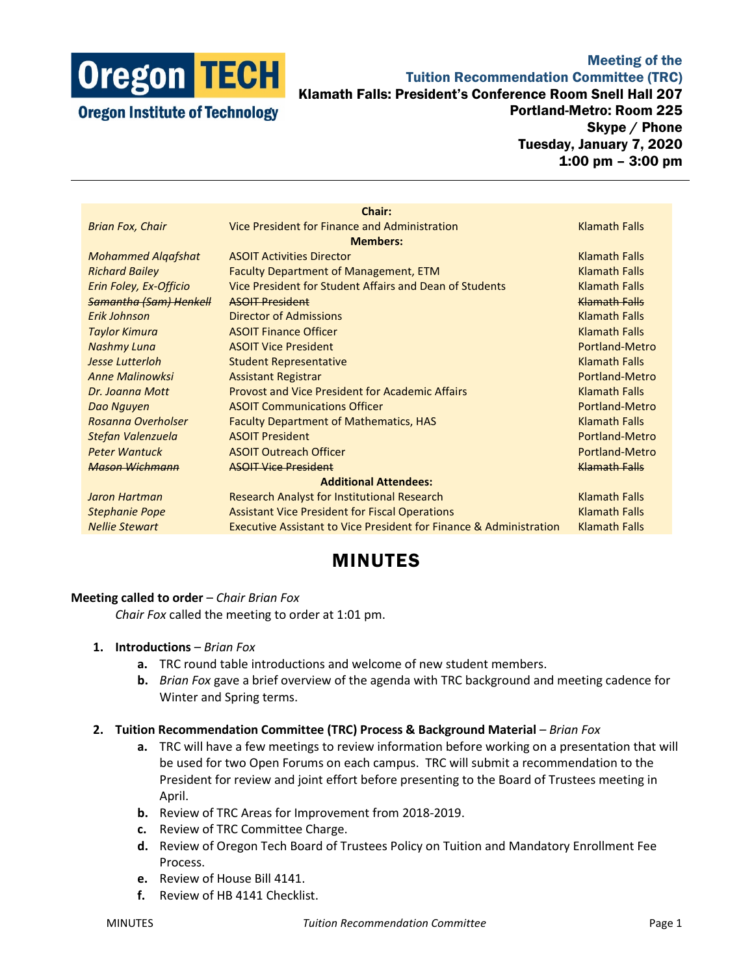

**Oregon Institute of Technology** 

Meeting of the Tuition Recommendation Committee (TRC) Klamath Falls: President's Conference Room Snell Hall 207 Portland-Metro: Room 225 Skype / Phone Tuesday, January 7, 2020 1:00 pm – 3:00 pm

| Chair:                        |                                                                               |                      |
|-------------------------------|-------------------------------------------------------------------------------|----------------------|
| <b>Brian Fox, Chair</b>       | Vice President for Finance and Administration                                 | <b>Klamath Falls</b> |
| <b>Members:</b>               |                                                                               |                      |
| <b>Mohammed Algafshat</b>     | <b>ASOIT Activities Director</b>                                              | <b>Klamath Falls</b> |
| <b>Richard Bailey</b>         | <b>Faculty Department of Management, ETM</b>                                  | <b>Klamath Falls</b> |
| Erin Foley, Ex-Officio        | Vice President for Student Affairs and Dean of Students                       | <b>Klamath Falls</b> |
| <b>Samantha (Sam) Henkell</b> | <b>ASOIT President</b>                                                        | Klamath Falls        |
| Erik Johnson                  | <b>Director of Admissions</b>                                                 | <b>Klamath Falls</b> |
| <b>Taylor Kimura</b>          | <b>ASOIT Finance Officer</b>                                                  | <b>Klamath Falls</b> |
| <b>Nashmy Luna</b>            | <b>ASOIT Vice President</b>                                                   | Portland-Metro       |
| Jesse Lutterloh               | <b>Student Representative</b>                                                 | <b>Klamath Falls</b> |
| <b>Anne Malinowksi</b>        | <b>Assistant Registrar</b>                                                    | Portland-Metro       |
| Dr. Joanna Mott               | <b>Provost and Vice President for Academic Affairs</b>                        | <b>Klamath Falls</b> |
| Dao Nguyen                    | <b>ASOIT Communications Officer</b>                                           | Portland-Metro       |
| Rosanna Overholser            | <b>Faculty Department of Mathematics, HAS</b>                                 | <b>Klamath Falls</b> |
| Stefan Valenzuela             | <b>ASOIT President</b>                                                        | Portland-Metro       |
| <b>Peter Wantuck</b>          | <b>ASOIT Outreach Officer</b>                                                 | Portland-Metro       |
| <b>Mason Wichmann</b>         | <b>ASOIT Vice President</b>                                                   | Klamath Falls        |
| <b>Additional Attendees:</b>  |                                                                               |                      |
| Jaron Hartman                 | Research Analyst for Institutional Research                                   | <b>Klamath Falls</b> |
| <b>Stephanie Pope</b>         | <b>Assistant Vice President for Fiscal Operations</b>                         | <b>Klamath Falls</b> |
| <b>Nellie Stewart</b>         | <b>Executive Assistant to Vice President for Finance &amp; Administration</b> | <b>Klamath Falls</b> |
|                               |                                                                               |                      |

# MINUTES

# **Meeting called to order** – *Chair Brian Fox*

*Chair Fox* called the meeting to order at 1:01 pm.

- **1. Introductions** *Brian Fox*
	- **a.** TRC round table introductions and welcome of new student members.
	- **b.** *Brian Fox* gave a brief overview of the agenda with TRC background and meeting cadence for Winter and Spring terms.

#### **2. Tuition Recommendation Committee (TRC) Process & Background Material** – *Brian Fox*

- **a.** TRC will have a few meetings to review information before working on a presentation that will be used for two Open Forums on each campus. TRC will submit a recommendation to the President for review and joint effort before presenting to the Board of Trustees meeting in April.
- **b.** Review of TRC Areas for Improvement from 2018-2019.
- **c.** Review of TRC Committee Charge.
- **d.** Review of Oregon Tech Board of Trustees Policy on Tuition and Mandatory Enrollment Fee Process.
- **e.** Review of House Bill 4141.
- **f.** Review of HB 4141 Checklist.